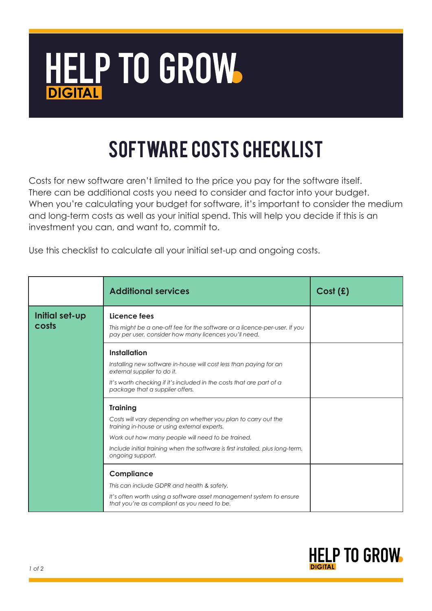

## Software Costs checklist

Costs for new software aren't limited to the price you pay for the software itself. There can be additional costs you need to consider and factor into your budget. When you're calculating your budget for software, it's important to consider the medium and long-term costs as well as your initial spend. This will help you decide if this is an investment you can, and want to, commit to.

Use this checklist to calculate all your initial set-up and ongoing costs.

|                         | <b>Additional services</b>                                                                                                                          | Cost(f) |
|-------------------------|-----------------------------------------------------------------------------------------------------------------------------------------------------|---------|
| Initial set-up<br>costs | Licence fees<br>This might be a one-off fee for the software or a licence-per-user. If you<br>pay per user, consider how many licences you'll need. |         |
|                         | Installation                                                                                                                                        |         |
|                         | Installing new software in-house will cost less than paying for an<br>external supplier to do it.                                                   |         |
|                         | It's worth checking if it's included in the costs that are part of a<br>package that a supplier offers.                                             |         |
|                         | <b>Training</b>                                                                                                                                     |         |
|                         | Costs will vary depending on whether you plan to carry out the<br>training in-house or using external experts.                                      |         |
|                         | Work out how many people will need to be trained.                                                                                                   |         |
|                         | Include initial training when the software is first installed, plus long-term,<br>ongoing support.                                                  |         |
|                         | Compliance                                                                                                                                          |         |
|                         | This can include GDPR and health & safety.                                                                                                          |         |
|                         | It's often worth using a software asset management system to ensure<br>that you're as compliant as you need to be.                                  |         |